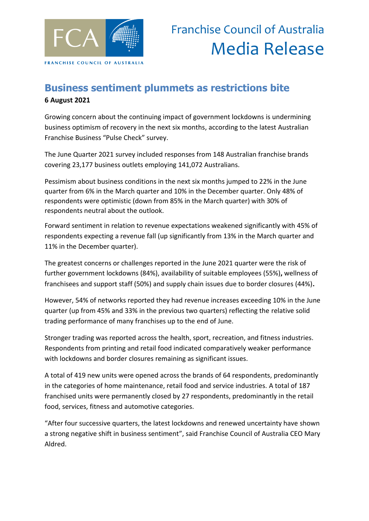

## **Business sentiment plummets as restrictions bite 6 August 2021**

Growing concern about the continuing impact of government lockdowns is undermining business optimism of recovery in the next six months, according to the latest Australian Franchise Business "Pulse Check" survey.

The June Quarter 2021 survey included responses from 148 Australian franchise brands covering 23,177 business outlets employing 141,072 Australians.

Pessimism about business conditions in the next six months jumped to 22% in the June quarter from 6% in the March quarter and 10% in the December quarter. Only 48% of respondents were optimistic (down from 85% in the March quarter) with 30% of respondents neutral about the outlook.

Forward sentiment in relation to revenue expectations weakened significantly with 45% of respondents expecting a revenue fall (up significantly from 13% in the March quarter and 11% in the December quarter).

The greatest concerns or challenges reported in the June 2021 quarter were the risk of further government lockdowns (84%), availability of suitable employees (55%)**,** wellness of franchisees and support staff (50%) and supply chain issues due to border closures (44%)**.**

However, 54% of networks reported they had revenue increases exceeding 10% in the June quarter (up from 45% and 33% in the previous two quarters) reflecting the relative solid trading performance of many franchises up to the end of June.

Stronger trading was reported across the health, sport, recreation, and fitness industries. Respondents from printing and retail food indicated comparatively weaker performance with lockdowns and border closures remaining as significant issues.

A total of 419 new units were opened across the brands of 64 respondents, predominantly in the categories of home maintenance, retail food and service industries. A total of 187 franchised units were permanently closed by 27 respondents, predominantly in the retail food, services, fitness and automotive categories.

"After four successive quarters, the latest lockdowns and renewed uncertainty have shown a strong negative shift in business sentiment", said Franchise Council of Australia CEO Mary Aldred.